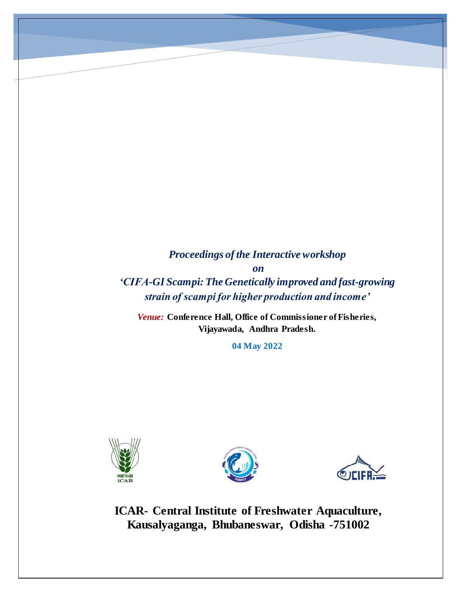*Proceedings of the Interactive workshop on 'CIFA-GI Scampi: The Genetically improved and fast-growing strain of scampi for higher production and income'*

*Venue:* **Conference Hall, Office of Commissioner of Fisheries, Vijayawada, Andhra Pradesh.**

**04 May 2022**







**ICAR- Central Institute of Freshwater Aquaculture, Kausalyaganga, Bhubaneswar, Odisha -751002**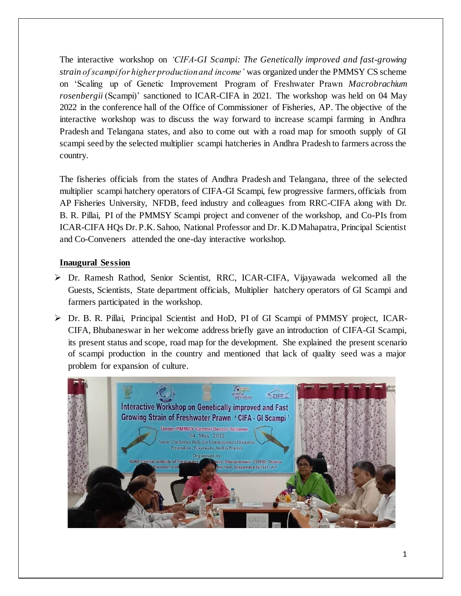The interactive workshop on *'CIFA-GI Scampi: The Genetically improved and fast-growing strain of scampi for higher production and income'* was organized under the PMMSY CS scheme on 'Scaling up of Genetic Improvement Program of Freshwater Prawn *Macrobrachium rosenbergii* (Scampi)' sanctioned to ICAR-CIFA in 2021. The workshop was held on 04 May 2022 in the conference hall of the Office of Commissioner of Fisheries, AP. The objective of the interactive workshop was to discuss the way forward to increase scampi farming in Andhra Pradesh and Telangana states, and also to come out with a road map for smooth supply of GI scampi seed by the selected multiplier scampi hatcheries in Andhra Pradesh to farmers across the country.

The fisheries officials from the states of Andhra Pradesh and Telangana, three of the selected multiplier scampi hatchery operators of CIFA-GI Scampi, few progressive farmers, officials from AP Fisheries University, NFDB, feed industry and colleagues from RRC-CIFA along with Dr. B. R. Pillai, PI of the PMMSY Scampi project and convener of the workshop, and Co-PIs from ICAR-CIFA HQs Dr. P.K. Sahoo, National Professor and Dr. K.D Mahapatra, Principal Scientist and Co-Conveners attended the one-day interactive workshop.

## **Inaugural Session**

- ➢ Dr. Ramesh Rathod, Senior Scientist, RRC, ICAR-CIFA, Vijayawada welcomed all the Guests, Scientists, State department officials, Multiplier hatchery operators of GI Scampi and farmers participated in the workshop.
- ➢ Dr. B. R. Pillai, Principal Scientist and HoD, PI of GI Scampi of PMMSY project, ICAR-CIFA, Bhubaneswar in her welcome address briefly gave an introduction of CIFA-GI Scampi, its present status and scope, road map for the development. She explained the present scenario of scampi production in the country and mentioned that lack of quality seed was a major problem for expansion of culture.

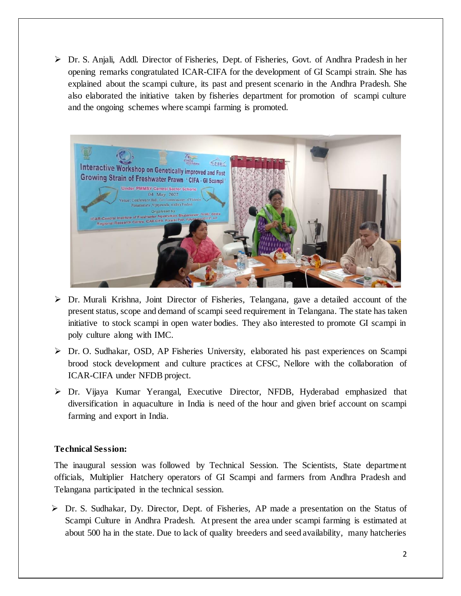➢ Dr. S. Anjali, Addl. Director of Fisheries, Dept. of Fisheries, Govt. of Andhra Pradesh in her opening remarks congratulated ICAR-CIFA for the development of GI Scampi strain. She has explained about the scampi culture, its past and present scenario in the Andhra Pradesh. She also elaborated the initiative taken by fisheries department for promotion of scampi culture and the ongoing schemes where scampi farming is promoted.



- $\triangleright$  Dr. Murali Krishna, Joint Director of Fisheries, Telangana, gave a detailed account of the present status, scope and demand of scampi seed requirement in Telangana. The state has taken initiative to stock scampi in open water bodies. They also interested to promote GI scampi in poly culture along with IMC.
- ➢ Dr. O. Sudhakar, OSD, AP Fisheries University, elaborated his past experiences on Scampi brood stock development and culture practices at CFSC, Nellore with the collaboration of ICAR-CIFA under NFDB project.
- ➢ Dr. Vijaya Kumar Yerangal, Executive Director, NFDB, Hyderabad emphasized that diversification in aquaculture in India is need of the hour and given brief account on scampi farming and export in India.

## **Technical Session:**

The inaugural session was followed by Technical Session. The Scientists, State department officials, Multiplier Hatchery operators of GI Scampi and farmers from Andhra Pradesh and Telangana participated in the technical session.

➢ Dr. S. Sudhakar, Dy. Director, Dept. of Fisheries, AP made a presentation on the Status of Scampi Culture in Andhra Pradesh. At present the area under scampi farming is estimated at about 500 ha in the state. Due to lack of quality breeders and seed availability, many hatcheries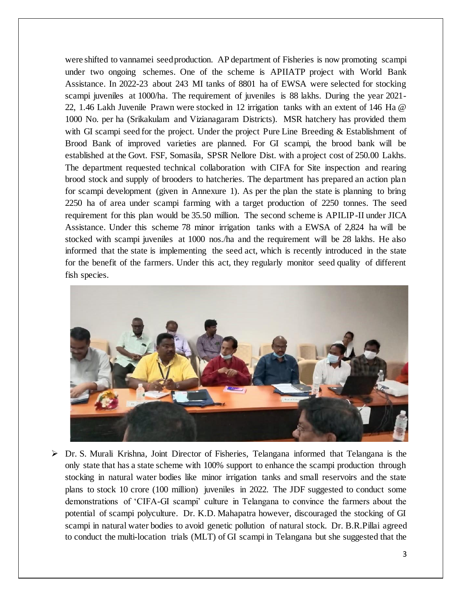were shifted to vannamei seed production. AP department of Fisheries is now promoting scampi under two ongoing schemes. One of the scheme is APIIATP project with World Bank Assistance. In 2022-23 about 243 MI tanks of 8801 ha of EWSA were selected for stocking scampi juveniles at 1000/ha. The requirement of juveniles is 88 lakhs. During the year 2021- 22, 1.46 Lakh Juvenile Prawn were stocked in 12 irrigation tanks with an extent of 146 Ha @ 1000 No. per ha (Srikakulam and Vizianagaram Districts). MSR hatchery has provided them with GI scampi seed for the project. Under the project Pure Line Breeding & Establishment of Brood Bank of improved varieties are planned. For GI scampi, the brood bank will be established at the Govt. FSF, Somasila, SPSR Nellore Dist. with a project cost of 250.00 Lakhs. The department requested technical collaboration with CIFA for Site inspection and rearing brood stock and supply of brooders to hatcheries. The department has prepared an action plan for scampi development (given in Annexure 1). As per the plan the state is planning to bring 2250 ha of area under scampi farming with a target production of 2250 tonnes. The seed requirement for this plan would be 35.50 million. The second scheme is APILIP-II under JICA Assistance. Under this scheme 78 minor irrigation tanks with a EWSA of 2,824 ha will be stocked with scampi juveniles at 1000 nos./ha and the requirement will be 28 lakhs. He also informed that the state is implementing the seed act, which is recently introduced in the state for the benefit of the farmers. Under this act, they regularly monitor seed quality of different fish species.



 $\triangleright$  Dr. S. Murali Krishna, Joint Director of Fisheries, Telangana informed that Telangana is the only state that has a state scheme with 100% support to enhance the scampi production through stocking in natural water bodies like minor irrigation tanks and small reservoirs and the state plans to stock 10 crore (100 million) juveniles in 2022. The JDF suggested to conduct some demonstrations of 'CIFA-GI scampi' culture in Telangana to convince the farmers about the potential of scampi polyculture. Dr. K.D. Mahapatra however, discouraged the stocking of GI scampi in natural water bodies to avoid genetic pollution of natural stock. Dr. B.R.Pillai agreed to conduct the multi-location trials (MLT) of GI scampi in Telangana but she suggested that the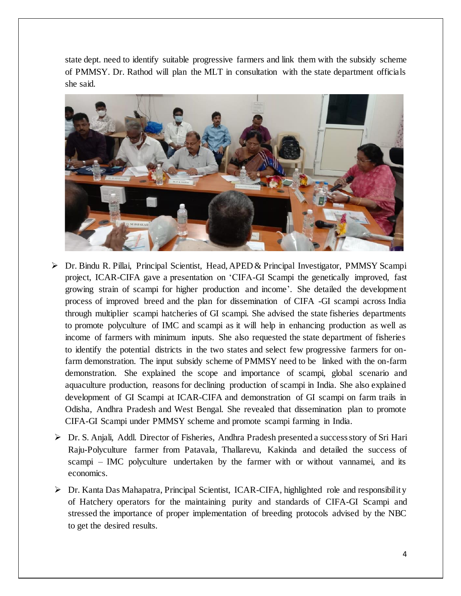state dept. need to identify suitable progressive farmers and link them with the subsidy scheme of PMMSY. Dr. Rathod will plan the MLT in consultation with the state department officials she said.



- ➢ Dr. Bindu R. Pillai, Principal Scientist, Head, APED& Principal Investigator, PMMSY Scampi project, ICAR-CIFA gave a presentation on 'CIFA-GI Scampi the genetically improved, fast growing strain of scampi for higher production and income'. She detailed the development process of improved breed and the plan for dissemination of CIFA -GI scampi across India through multiplier scampi hatcheries of GI scampi. She advised the state fisheries departments to promote polyculture of IMC and scampi as it will help in enhancing production as well as income of farmers with minimum inputs. She also requested the state department of fisheries to identify the potential districts in the two states and select few progressive farmers for onfarm demonstration. The input subsidy scheme of PMMSY need to be linked with the on-farm demonstration. She explained the scope and importance of scampi, global scenario and aquaculture production, reasons for declining production of scampi in India. She also explained development of GI Scampi at ICAR-CIFA and demonstration of GI scampi on farm trails in Odisha, Andhra Pradesh and West Bengal. She revealed that dissemination plan to promote CIFA-GI Scampi under PMMSY scheme and promote scampi farming in India.
- ➢ Dr. S. Anjali, Addl. Director of Fisheries, Andhra Pradesh presented a success story of Sri Hari Raju-Polyculture farmer from Patavala, Thallarevu, Kakinda and detailed the success of scampi – IMC polyculture undertaken by the farmer with or without vannamei, and its economics.
- ➢ Dr. Kanta Das Mahapatra, Principal Scientist, ICAR-CIFA, highlighted role and responsibility of Hatchery operators for the maintaining purity and standards of CIFA-GI Scampi and stressed the importance of proper implementation of breeding protocols advised by the NBC to get the desired results.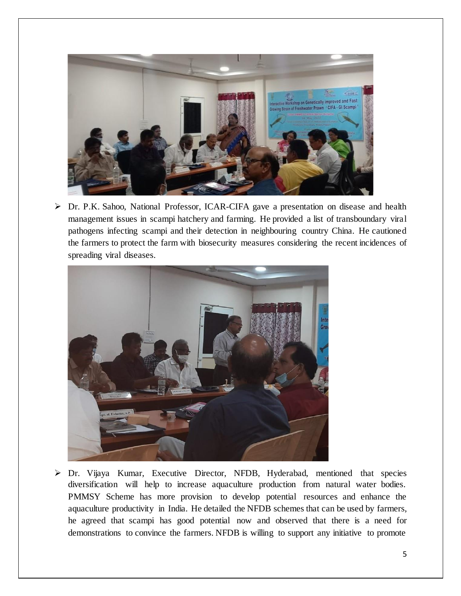

➢ Dr. P.K. Sahoo, National Professor, ICAR-CIFA gave a presentation on disease and health management issues in scampi hatchery and farming. He provided a list of transboundary viral pathogens infecting scampi and their detection in neighbouring country China. He cautioned the farmers to protect the farm with biosecurity measures considering the recent incidences of spreading viral diseases.



➢ Dr. Vijaya Kumar, Executive Director, NFDB, Hyderabad, mentioned that species diversification will help to increase aquaculture production from natural water bodies. PMMSY Scheme has more provision to develop potential resources and enhance the aquaculture productivity in India. He detailed the NFDB schemes that can be used by farmers, he agreed that scampi has good potential now and observed that there is a need for demonstrations to convince the farmers. NFDB is willing to support any initiative to promote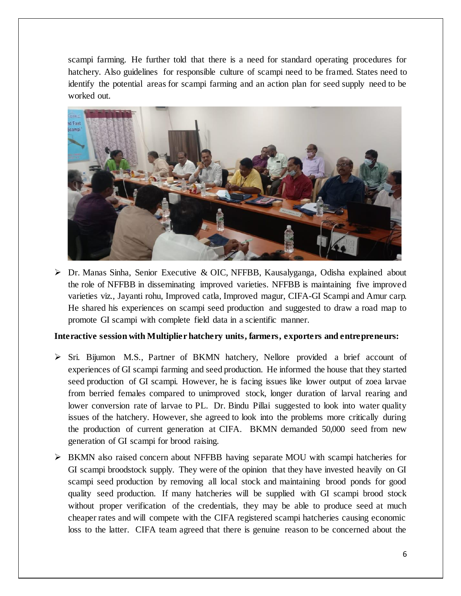scampi farming. He further told that there is a need for standard operating procedures for hatchery. Also guidelines for responsible culture of scampi need to be framed. States need to identify the potential areas for scampi farming and an action plan for seed supply need to be worked out.



➢ Dr. Manas Sinha, Senior Executive & OIC, NFFBB, Kausalyganga, Odisha explained about the role of NFFBB in disseminating improved varieties. NFFBB is maintaining five improved varieties viz., Jayanti rohu, Improved catla, Improved magur, CIFA-GI Scampi and Amur carp. He shared his experiences on scampi seed production and suggested to draw a road map to promote GI scampi with complete field data in a scientific manner.

## **Interactive session with Multiplier hatchery units, farmers, exporters and entrepreneurs:**

- ➢ Sri. Bijumon M.S., Partner of BKMN hatchery, Nellore provided a brief account of experiences of GI scampi farming and seed production. He informed the house that they started seed production of GI scampi. However, he is facing issues like lower output of zoea larvae from berried females compared to unimproved stock, longer duration of larval rearing and lower conversion rate of larvae to PL. Dr. Bindu Pillai suggested to look into water quality issues of the hatchery. However, she agreed to look into the problems more critically during the production of current generation at CIFA. BKMN demanded 50,000 seed from new generation of GI scampi for brood raising.
- ➢ BKMN also raised concern about NFFBB having separate MOU with scampi hatcheries for GI scampi broodstock supply. They were of the opinion that they have invested heavily on GI scampi seed production by removing all local stock and maintaining brood ponds for good quality seed production. If many hatcheries will be supplied with GI scampi brood stock without proper verification of the credentials, they may be able to produce seed at much cheaper rates and will compete with the CIFA registered scampi hatcheries causing economic loss to the latter. CIFA team agreed that there is genuine reason to be concerned about the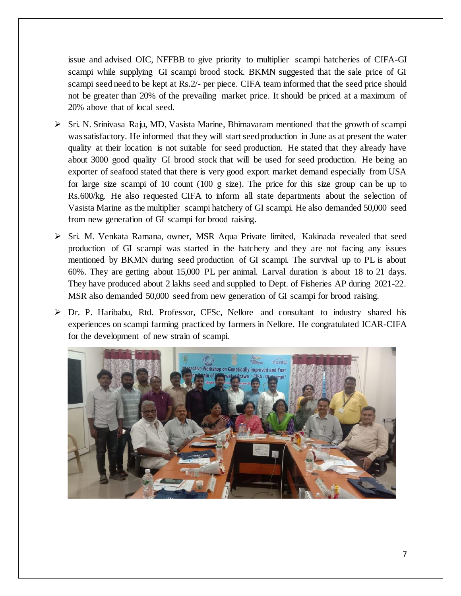issue and advised OIC, NFFBB to give priority to multiplier scampi hatcheries of CIFA-GI scampi while supplying GI scampi brood stock. BKMN suggested that the sale price of GI scampi seed need to be kept at Rs.2/- per piece. CIFA team informed that the seed price should not be greater than 20% of the prevailing market price. It should be priced at a maximum of 20% above that of local seed.

- ➢ Sri. N. Srinivasa Raju, MD, Vasista Marine, Bhimavaram mentioned that the growth of scampi was satisfactory. He informed that they will start seed production in June as at present the water quality at their location is not suitable for seed production. He stated that they already have about 3000 good quality GI brood stock that will be used for seed production. He being an exporter of seafood stated that there is very good export market demand especially from USA for large size scampi of 10 count (100 g size). The price for this size group can be up to Rs.600/kg. He also requested CIFA to inform all state departments about the selection of Vasista Marine as the multiplier scampi hatchery of GI scampi. He also demanded 50,000 seed from new generation of GI scampi for brood raising.
- ➢ Sri. M. Venkata Ramana, owner, MSR Aqua Private limited, Kakinada revealed that seed production of GI scampi was started in the hatchery and they are not facing any issues mentioned by BKMN during seed production of GI scampi. The survival up to PL is about 60%. They are getting about 15,000 PL per animal. Larval duration is about 18 to 21 days. They have produced about 2 lakhs seed and supplied to Dept. of Fisheries AP during 2021-22. MSR also demanded 50,000 seed from new generation of GI scampi for brood raising.
- ➢ Dr. P. Haribabu, Rtd. Professor, CFSc, Nellore and consultant to industry shared his experiences on scampi farming practiced by farmers in Nellore. He congratulated ICAR-CIFA for the development of new strain of scampi.

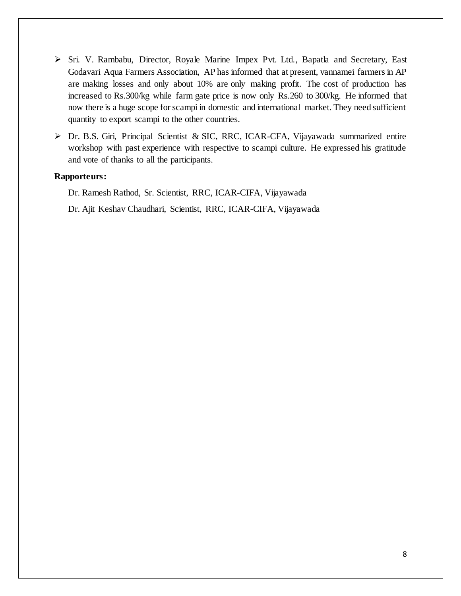- ➢ Sri. V. Rambabu, Director, Royale Marine Impex Pvt. Ltd., Bapatla and Secretary, East Godavari Aqua Farmers Association, AP has informed that at present, vannamei farmers in AP are making losses and only about 10% are only making profit. The cost of production has increased to Rs.300/kg while farm gate price is now only Rs.260 to 300/kg. He informed that now there is a huge scope for scampi in domestic and international market. They need sufficient quantity to export scampi to the other countries.
- ➢ Dr. B.S. Giri, Principal Scientist & SIC, RRC, ICAR-CFA, Vijayawada summarized entire workshop with past experience with respective to scampi culture. He expressed his gratitude and vote of thanks to all the participants.

#### **Rapporteurs:**

Dr. Ramesh Rathod, Sr. Scientist, RRC, ICAR-CIFA, Vijayawada Dr. Ajit Keshav Chaudhari, Scientist, RRC, ICAR-CIFA, Vijayawada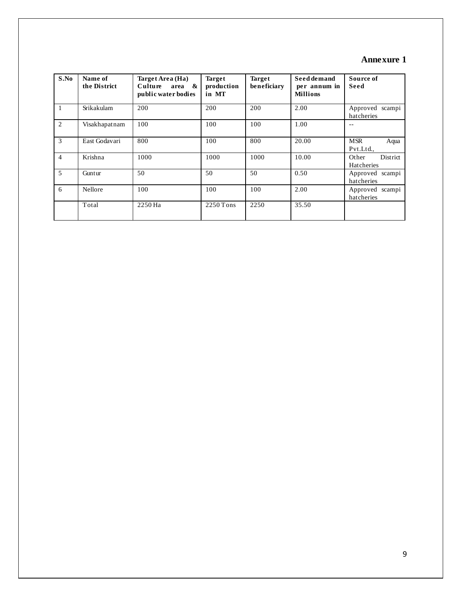# **Annexure 1**

| S.No           | Name of<br>the District | Target Area (Ha)<br>Culture<br>area<br>&<br>public water bodies | <b>Target</b><br>production<br>in MT | <b>Target</b><br>beneficiary | Seed demand<br>per annum in<br><b>Millions</b> | Source of<br>Seed               |
|----------------|-------------------------|-----------------------------------------------------------------|--------------------------------------|------------------------------|------------------------------------------------|---------------------------------|
|                | Srikakulam              | 200                                                             | 200                                  | 200                          | 2.00                                           | Approved scampi<br>hatcheries   |
| 2              | Visakhapatnam           | 100                                                             | 100                                  | 100                          | 1.00                                           | --                              |
| 3              | East Godavari           | 800                                                             | 100                                  | 800                          | 20.00                                          | <b>MSR</b><br>Aqua<br>Pvt.Ltd., |
| $\overline{4}$ | Krishna                 | 1000                                                            | 1000                                 | 1000                         | 10.00                                          | District<br>Other<br>Hatcheries |
| 5              | Guntur                  | 50                                                              | 50                                   | 50                           | 0.50                                           | Approved scampi<br>hatcheries   |
| 6              | <b>Nellore</b>          | 100                                                             | 100                                  | 100                          | 2.00                                           | Approved scampi<br>hatcheries   |
|                | Total                   | 2250 Ha                                                         | $2250$ Tons                          | 2250                         | 35.50                                          |                                 |